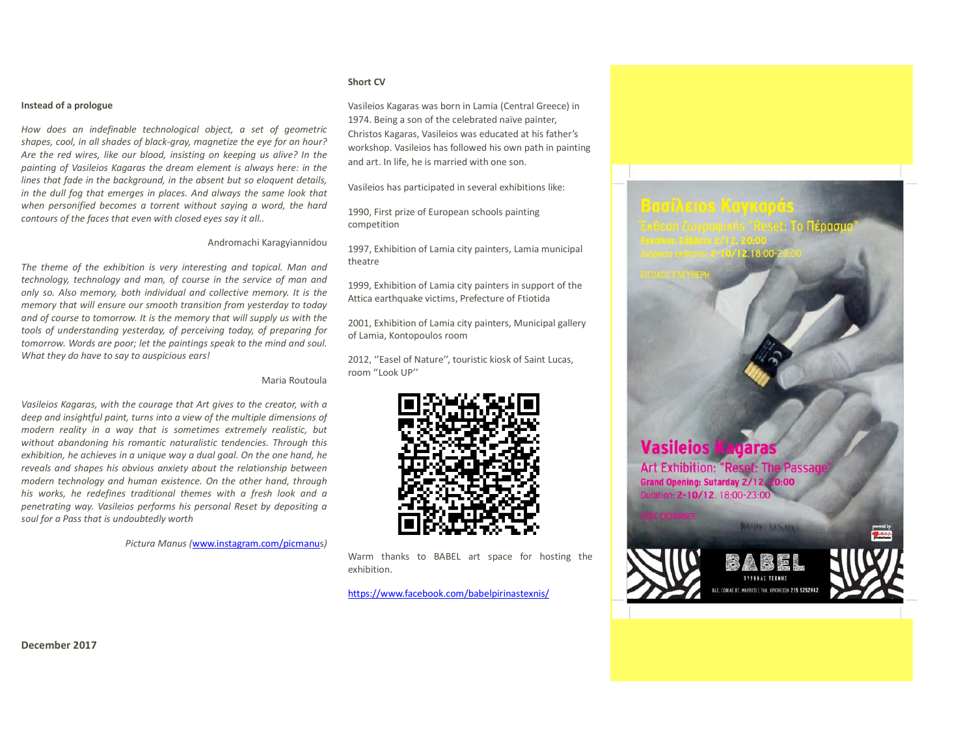## **Instead of a prologue**

*How does an indefinable technological object, a set of geometric shapes, cool, in all shades of black-gray, magnetize the eye for an hour? Are the red wires, like our blood, insisting on keeping us alive? In the painting of Vasileios Kagaras the dream element is always here: in the lines that fade in the background, in the absent but so eloquent details, in the dull fog that emerges in places. And always the same look that when personified becomes a torrent without saying a word, the hard contours of the faces that even with closed eyes say it all..* 

## Andromachi Karagyiannidou

*The theme of the exhibition is very interesting and topical. Man and technology, technology and man, of course in the service of man and only so. Also memory, both individual and collective memory. It is the memory that will ensure our smooth transition from yesterday to today and of course to tomorrow. It is the memory that will supply us with the tools of understanding yesterday, of perceiving today, of preparing for tomorrow. Words are poor; let the paintings speak to the mind and soul. What they do have to say to auspicious ears!* 

## Maria Routoula

*Vasileios Kagaras, with the courage that Art gives to the creator, with a deep and insightful paint, turns into a view of the multiple dimensions of modern reality in a way that is sometimes extremely realistic, but without abandoning his romantic naturalistic tendencies. Through this exhibition, he achieves in a unique way a dual goal. On the one hand, he reveals and shapes his obvious anxiety about the relationship between modern technology and human existence. On the other hand, through his works, he redefines traditional themes with a fresh look and a penetrating way. Vasileios performs his personal Reset by depositing a soul for a Pass that is undoubtedly worth* 

*Pictura Manus (*www.instagram.com/picmanus*)*

## **Short CV**

Vasileios Kagaras was born in Lamia (Central Greece) in 1974. Being a son of the celebrated naïve painter, Christos Kagaras, Vasileios was educated at his father's workshop. Vasileios has followed his own path in painting and art. In life, he is married with one son.

Vasileios has participated in several exhibitions like:

1990, First prize of European schools painting competition

1997, Exhibition of Lamia city painters, Lamia municipal theatre

1999, Exhibition of Lamia city painters in support of the Attica earthquake victims. Prefecture of Ftiotida

2001, Exhibition of Lamia city painters, Municipal gallery of Lamia, Kontopoulos room

2012, "Easel of Nature", touristic kiosk of Saint Lucas, room ''Look UP''



Warm thanks to BABEL art space for hosting the exhibition.

https://www.facebook.com/babelpirinastexnis/



**December 2017**